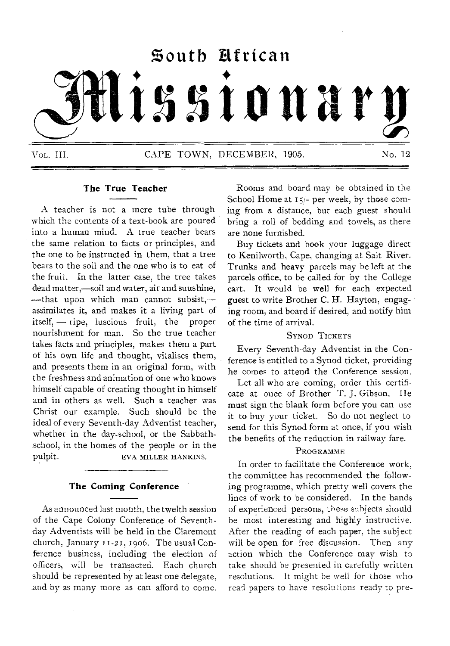# **%outh African issionary**

Vol. III. CAPE TOWN, DECEMBER, 1905. No. 12

# **The True Teacher**

A teacher is not a mere tube through which the contents of a text-book are poured into a human mind. A true teacher bears the same relation to facts or principles, and the one to be instructed in them, that a tree bears to the soil and the one who is to eat of the fruit. In the latter case, the tree takes dead matter,—soil and water, air and suushine, —that upon which man cannot subsist, assimilates it, and makes it a living part of itself, — ripe, luscious fruit, the proper nourishment for man. So the true teacher takes facts and principles, makes them a part of his own life and thought, vitalises them, and presents them in an original form, with the freshness and animation of one who knows himself capable of creating thought in himself and in others as well. Such a teacher was Christ our example. Such should be the ideal of every Seventh-day Adventist teacher, whether in the day-school, or the Sabbathschool, in the homes of the people or in the pulpit. EVA MILLER HANKINS.

#### **The Coming Conference**

As announced last month, the twelth session of the Cape Colony Conference of Seventh- -day Adventists will be held in the Claremont church, January 11-21, 1906. The usual Conference business, including the election of officers, will be transacted. Each church should be represented by at least one delegate, and by as many more as can afford to come.

Rooms and board may be obtained in the School Home at  $15/-$  per week, by those coming from a distance, but each guest should bring a roll of bedding and towels, as there are none furnished.

Buy tickets and book your luggage direct to Kenilworth, Cape, changing at Salt River. Trunks and heavy parcels may be left at the parcels office, to be called for by the College cart. It would be well for each expected guest to write Brother C. H. Hayton, engaging room, and board if desired, and notify him of the time of arrival.

#### SYNOD TICKETS

Every Seventh-day Adventist in the Conference is entitled to a Synod ticket, providing he comes to attend the Conference session.

Let all who are coming, order this certificate at once of Brother T. J. Gibson. He must sign the blank form before you can use it to buy your ticket. So do not neglect to send for this Synod form at once, if you wish the benefits of the reduction in railway fare.

#### **PROGRAMME**

In order to facilitate the Conference work, the committee has recommended the following programme, which pretty well covers the lines of work to be considered. In the hands of experienced persons, these subjects should be most interesting and highly instructive. After the reading of each paper, the subject will be open for free discussion. Then any action which the Conference may wish to take should be presented in carefully written resolutions. It might be well for those who read papers to have resolutions ready to pre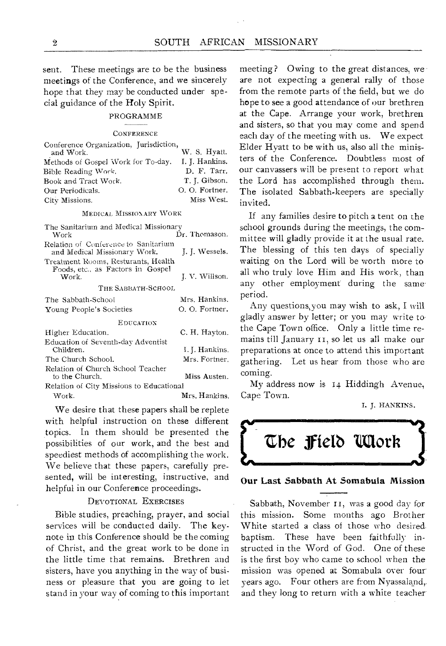sent. These meetings are to be the business meetings of the Conference, and we sincerely hope that they may be conducted under special guidance of the Holy Spirit.

#### PROGRAMME

#### **CONFERENCE**

| Conference Organization, Jurisdiction, |                |
|----------------------------------------|----------------|
| and Work.                              | W. S. Hyatt.   |
| Methods of Gospel Work for To-day.     | I. J. Hankins. |
| Bible Reading Work.                    | D. F. Tarr.    |
| Book and Tract Work.                   | T. J. Gibson.  |
| Our Periodicals.                       | O. O. Fortner. |
| City Missions.                         | Miss West.     |
|                                        |                |

#### MEDICAL MISSIONARY WORK

| The Sanitarium and Medical Missionary<br>Work                                     | Dr. Thomason.  |  |  |  |  |  |
|-----------------------------------------------------------------------------------|----------------|--|--|--|--|--|
| Relation of Conference to Sanitarium<br>and Medical Missionary Work.              | L. J. Wessels. |  |  |  |  |  |
| Treatment Rooms, Resturants, Health<br>Foods, etc., as Factors in Gospel<br>Work. | J. V. Willson. |  |  |  |  |  |
| The Sabbath-School                                                                |                |  |  |  |  |  |
| The Sabbath-School                                                                | Mrs. Hankins.  |  |  |  |  |  |
| Young People's Societies                                                          | O. O. Fortner. |  |  |  |  |  |
| EDUCATION                                                                         |                |  |  |  |  |  |
| Higher Education.                                                                 | C. H. Havton.  |  |  |  |  |  |
| Education of Seventh-day Adventist<br>Children.                                   | I. J. Hankins. |  |  |  |  |  |
| The Church School.                                                                | Mrs. Fortner.  |  |  |  |  |  |
| Relation of Church School Teacher<br>to the Church.                               | Miss Austen.   |  |  |  |  |  |
| Relation of City Missions to Educational                                          |                |  |  |  |  |  |

Work. Mrs. Hankins.

We desire that these papers shall be replete with helpful instruction on these different topics. In them should be presented the possibilities of our work, and the best and speediest methods of accomplishing the work. We believe that these papers, carefully presented, will be interesting, instructive, and helpful in our Conference proceedings.

#### DEVOTIONAL EXERCISES

Bible studies, preaching, prayer, and social services will be conducted daily. The keynote in this Conference should be the coming of Christ, and the great work to be done in the little time that remains. Brethren and sisters, have you anything in the way of business or pleasure that you are going to let stand in your way of coming to this important meeting? Owing to the great distances, we are not expecting a general rally of those from the remote parts of the field, but we do hope to see a good attendance of our brethren at the Cape. Arrange your work, brethren and sisters, so that you may come and spend each day of the meeting with us. We expect Elder Hyatt to be with us, also all the ministers of the Conference. Doubtless most of our canvassers will be present to report what the Lord has accomplished through them. The isolated Sabbath-keepers are specially invited.

If any families desire to pitch a tent on the school grounds during the meetings, the committee will gladly provide it at the usual rate. The blessing of this ten days of specially waiting on the Lord will be worth more to all who truly love Him and His work, than any other employment during the same period.

Any questions,you may wish to ask, I will gladly answer by letter; or you may write to the Cape Town office. Only a little time remains till January II, so let us all make our preparations at once to attend this important gathering. Let us hear from those who are coming.

My address now is 14 Hiddingh Avenue, Cape Town.

I. J. HANKINS.



#### **Our Last Sabbath At Sornabula Mission**

Sabbath, November **II,** was a good day for this mission. Some months ago Brother White started a class of those who desiredbaptism. These have been faithfully instructed in the Word of God. One of these is the first boy who came to school when the mission was opened at Somabula over four years ago. Four others are from Nyassaland,. and they long to return with a white teacher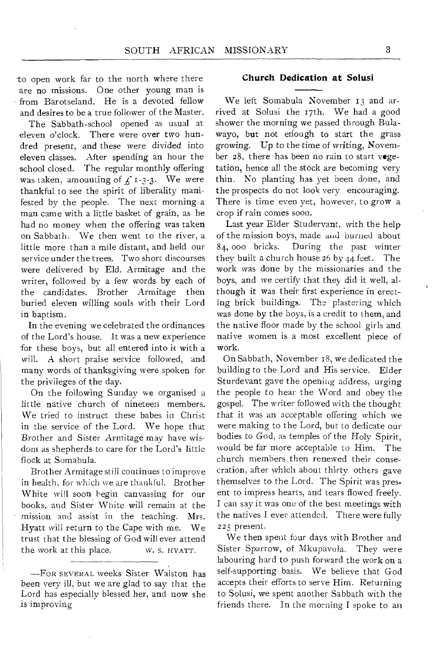to open work far to the north where there are no missions. One other young man is from Barotseland. He is a devoted fellow and desires to be a true follower of the Master.

The Sabbath-school opened as usual at eleven o'clock. There were over two hundred present, and these were divided into eleven classes. After spending an hour the school closed. The regular monthly offering was taken, amounting of  $f_1$ -3-3. We were thankful to see the spirit of liberality manifested by the people. The next morning a man came with a little basket of grain, as he had no money when the offering was taken on Sabbath. We then went to the river, a little more than a mile distant, and held our service under the trees. Two short discourses were delivered by Eld. Armitage and the writer, followed by a few words by each of the candidates. Brother Armitage then buried eleven willing souls with their Lord in baptism.

In the evening we celebrated the ordinances of the Lord's house. It was a new experience for these boys, but all entered into it with a will. A short praise service followed, and many words of thanksgiving were spoken for the privileges of the day.

On the following Sunday we organised a little native church of nineteen members. We tried to instruct these babes in Christ in the service of the Lord. We hope that Brother and Sister Armitage may have wisdom as shepherds to care for the Lord's little flock at Somabula.

Brother Armitage still continues to improve in health, for which we are thankful. Brother White will soon begin canvassing for our books, and Sister White will remain at the mission and assist in the teaching. Mrs. Hyatt will return to the Cape with me. We trust that the blessing of God will ever attend the work at this place. w. S. HYATT.

#### **Church Dedication at Solusi**

We left Somabula November 13 and arrived at Solusi the 17th. We had a good shower the morning we passed through Bulawayo, but not enough to start the grass growing. Up to the time of writing, November 28, there has been no rain to start vegetation, hence all the stock are becoming very thin. No planting has yet been done, and the prospects do not look very encouraging. There is time even yet, however, to grow a crop if rain comes soon.

Last year Elder Studervant, with the help of the mission boys, made and burned about 84, 000 bricks. During the past winter they built a church house  $26$  by  $44$  feet. The work was done by the missionaries and the boys, and we certify that they did it well, although it was their first experience in erecting brick buildings. The plastering which was done by the boys, is a credit to them, and the native floor made by the school girls and native women is a most excellent piece of work.

On Sabbath, November 18, we dedicated the building to the Lord and His service. Elder Sturdevant gave the opening address, urging the people to hear the Word and obey the gospel. The writer followed with the thought that it was an acceptable offering which we were making to the Lord, but to dedicate our bodies to God, as temples of the Holy Spirit, would be far more acceptable to Him. The church members then renewed their consecration, after which about thirty others gave themselves to the Lord. The Spirit was present to impress hearts, and tears flowed freely. I can say it was one of the best meetings with the natives I ever attended. There were fully 225 present.

We then spent four days with Brother and Sister Sparrow, of Mkupavula. They were labouring hard to push forward the work on a self-supporting basis. We believe that God accepts their efforts to serve Him. Returning to Solusi, we spent another Sabbath with the friends there. In the morning I spoke to an

<sup>-</sup>FOR SEVERAL weeks Sister Walston has been very ill, but we are glad to say that the Lord has especially blessed her, and now she is improving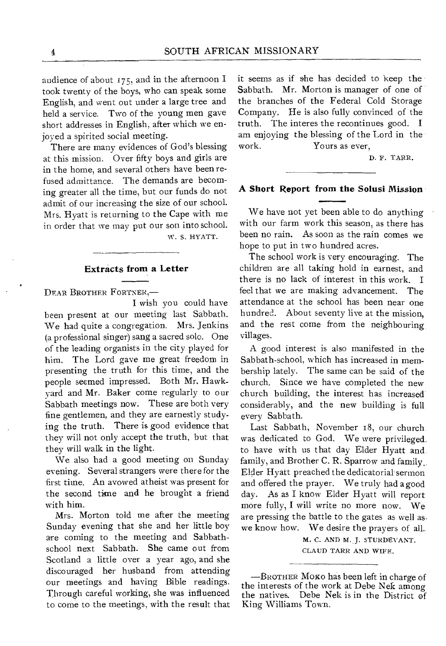audience of about 175, and in the afternoon I took twenty of the boys, who can speak some English, and went out under a large tree and held a service. Two of the young men gave short addresses in English, after which we enjoyed a spirited social meeting.

There are many evidences of God's blessing at this mission. Over fifty boys and girls are in the home, and several others have been refused admittance. The demands are becoming greater all the time, but our funds do not admit of our increasing the size of our school. Mrs. Hyatt is returning to the Cape with me in order that we may put our son into school.

W. S. HYATT.

#### **Extracts from a Letter**

DEAR BROTHER FORTNER,-

I wish you could have been present at our meeting last Sabbath. We had quite a congregation. Mrs. Jenkins (a professional singer) sang a sacred solo. One of the leading organists in the city played for him. The Lord gave me great freedom in presenting the truth for this time, and the people seemed impressed. Both Mr. Hawkyard and Mr. Baker come regularly to our Sabbath meetings now. These are both very fine gentlemen, and they are earnestly studying the truth. There is good evidence that they will not only accept the truth, but that they will walk in the light.

We also had a good meeting on Sunday evening. Several strangers were there for the first time. An avowed atheist was present for the second time and he brought a friend with him.

Mrs. Morton told me after the meeting Sunday evening that she and her little boy are coming to the meeting and Sabbathschool next Sabbath. She came out from Scotland a little over a year ago, and she discouraged her husband from attending our meetings and having Bible readings. Through careful working, she was influenced to come to the meetings, with the result that it seems as if she has decided to keep the Sabbath. Mr. Morton is manager of one of the branches of the Federal Cold Storage Company. He is also fully convinced of the truth. The interes the recontinues good. I am enjoying the blessing of the Lord in the work. Yours as ever,

D. F. TARR.

#### **A Short Report from the Solusi Mission**

We have not yet been able to do anything with our farm work this season, as there has been no rain. As soon as the rain comes we hope to put in two hundred acres.

The school work is very encouraging. The children are all taking hold in earnest, and there is no lack of interest in this work. I feel that we are making advancement. The attendance at the school has been near one hundred. About seventy live at the mission, and the rest come from the neighbouring villages.

A good interest is also manifested in the Sabbath-school, which has increased in membership lately. The same can be said of the church. Since we have completed the new church building, the interest has increased considerably, and the new building is full every Sabbath.

Last Sabbath, November 18, our church was dedicated to God. We were privileged. to have with us that day Elder Hyatt and family, and Brother C. R. Sparrow and family. Elder Hyatt preached the dedicatorial' sermon and offered the prayer. We truly had a good day. As as I know Elder Hyatt will report more fully, I will write no more now. We are pressing the battle to the gates as well as we know how. We desire the prayers of all..

> M. C. AND M. J. STURDEVANT. CLAUD TARR AND WIFE.

-BROTHER MoKo has been left in charge of the interests of the work at Debe Nek among the natives. Debe Nek is in the District of King Williams Town.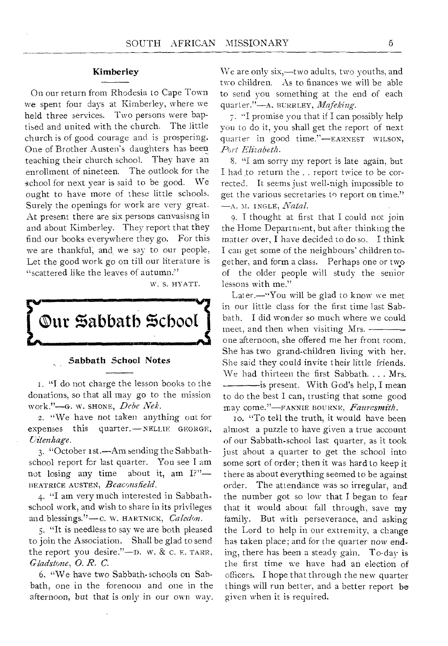### Kimberley

On our return from Rhodesia to Cape Town we spent four days at Kimberley, where we held three services. Two persons were baptised and united with the church. The little church is of good courage and is prospering. One of Brother Austen's daughters has been teaching their church school. They have an enrollment of nineteen. The outlook for the school for next year is said to be good. We ought to have more of these little schools. Surely the openings for work are very great. At present there are six persons canvasisng in and about Kimberley. They report that they find our books everywhere they go. For this we are thankful; and.we say to our people, Let the good work go on till our literature is "scattered like the leaves of autumn:"

W. S. HY ATT.



#### Sabbath School Notes

I. "I do not charge the lesson books to the donations, so that all may go to the mission work."—G. W. SHONE, *Debe Nek.* 

2. "We have not taken anything out for expenses this quarter.—NELLIE GEORGE, *Oitenhage.* 

*3. "October* ist.—Am sending the Sabbathschool report for last quarter. You see I am not losing any time about it, am I?"— BEATRICE AUSTEN, *Beaconsfield* 

4. "I am very much interested in Sabbathschool work, and wish to share in its privileges and blessings."-C. W. HARTNICK, *Caledon*.

5. "It is needless to say we are both pleased to join the Association. Shall be glad to send the report you desire."—n. w. & C. E. TARR, *Gladstone, 0. R.* C.

6. "We have two Sabbath- schools on Sabbath, one in the forenoon and one in the afternoon, but that is only in our own way.

We are only six,—two adults, two youths, and two children. As to finances we will be able to send you something at the end of each quarter."—A. BURRLEY, *Mafeking.* 

7. "I promise you that if I can possibly help you to do it, you shall get the report of next quarter in good time."—EARNEST WILSON, *Art Elizabeth.* 

8. "I am sorry my report is late again, but I had to return the . . report twice to be corrected. It seems just well-nigh impossible to get the various secretaries to report on time." —A. M. I NGLE, *Natal.* 

9. I thought at first that I could not join the Home Department, but after thinking the matter over, I have decided to do so. I think I can get some of the neighbours' children together, and form a class. Perhaps one or two of the older people will study the senior lessons with me."

Later.—"You will be glad to know we met in our little class for the first time last Sabbath. I did wonder so much where we could meet, and then when visiting Mrs. one afternoon, she offered me her front room. She has two grand-children living with her. She said they could invite their little friends. We had thirteen the first Sabbath. . . . Mrs. is present. With God's help, I mean to do the best I can, trusting that some good may come."-FANNIE BOURNE, Fauresmith.

IO. "To tell the truth, it would have been almost a puzzle to have given a true account of our Sabbath-school last quarter, as it took just about a quarter to get the school into some sort of order; then it was hard to keep it there as about everything seemed to be against order. The attendance was so irregular, and the number got so low that I began to fear that it would about fall through, save my family. But with perseverance, and asking the Lord to help in our extremity, a change has taken place; and for the quarter now ending, there has been a steady gain. To-day is the first time we have had an election of officers. I hope that through the new quarter things will run better, and a better report be given when it is required.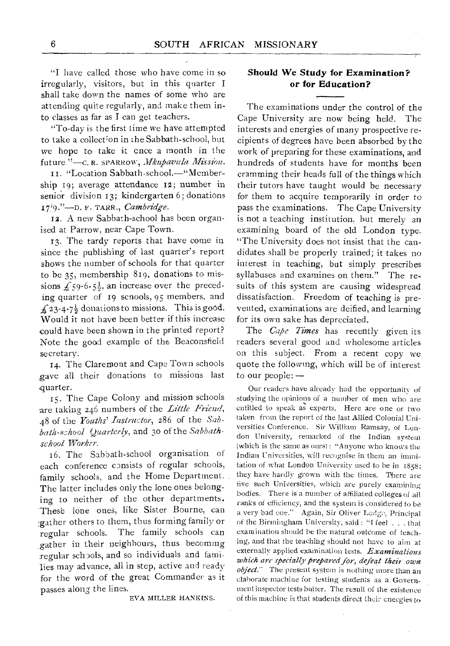"I have called those who have come in so irregularly, visitors, but in this quarter I shall take down the names of some who are attending quite regularly, and make them into classes as far as I can get teachers.

"To-day is the first time we have attempted to take a collection in the Sabbath-school, but we hope to take it cnce a month in the future."—C. R. SPARROW, *Mkupavula Mission*.

Li. "Location Sabbath -school.—"Membership 19; average attendance i2; number in senior division 13; kindergarten 6; donations 17<sup>1</sup>9."-D. F. TARR., *Cambridge*.

12. A new Sabbath-school has been organised at Parrow, near Cape Town.

13. The tardy reports that have come in since the publishing of last quarter's report shows the number of schools for that quarter to be 35, membership 819, donations to missions  $f_5$ 9-6-5<sup>1</sup>, an increase over the preceding quarter of r9 scnools, 95 members, and  $\pounds$  23-4-7<sup>1</sup>/<sub>2</sub> donations to missions. This is good. Would it not have been better if this increase could have been shown in the printed report? Note the good example of the Beaconsfield secretary.

14. The Claremont and Cape Town schools gave all their donations to missions last quarter.

15. The Cape Colony and mission schools are taking 246 numbers of the *Little Friend,*  48 of the *Youths' Instructor,* 286 of the *Sabbath-school Quarterly,* and 30 of the *Sabbathschool Worker.* 

16. The Sabbath-school organisation of each conference consists of regular schools, family schools, and the Home Department. The latter includes only the lone ones belonging to neither of the other departments. These lone ones, like Sister Bourne, can gather others to them, thus forming family or regular schools. The family schools can .gather in their neighbours, thus becoming regular schools, and so individuals and families may advance, all in step, active and ready for the word of the great Commander as it passes along the lines.

EVA MILLER HANKINS.

## **Should We Study for Examination? or for Education?**

The examinations under the control of the Cape University are now being held. The interests and energies of many prospective recipients of degrees have been absorbed by the work of preparing for these examinations, and hundreds of students have for months been cramming their heads full of the things which their tutors have taught would be necessary for them to acquire temporarily in order to pass the examinations. The Cape University is not a teaching institution, hut merely an examining board of the old London type. "The University does not insist that the candidates shall be properly trained; it takes no interest in teaching, but simply prescribes syllabuses and examines on them." The results of this system are causing widespread dissatisfaction. Freedom of teaching is prevented, examinations are deified, and learning for its own sake has depreciated.

The *Cape Times* has recently given its readers several good and wholesome articles on this subject. From a recent copy we quote the following, which will be of interest to our people: —

Our readers have already had the opportunity **of**  studying **the opinions of** a number of men who are entitled **to speak as experts.** Here are one or **two**  taken **from the report of the last** Allied Colonial Universities **Conference.** Sir William Ramsay, of London **University, remarked of** the Indian system (which is **the same as ours) : "Anyone** who knows the Indian **Universities,** will **recognise in** them an immitation of **what London University** used to be in **1858;**  they have hardly grown **with the** times. There **are**  five such **Universities, which are** purely examining bodies. **There is a** number **of** affiliated colleges of **all**  ranks of **efficiency, and** the **system is considered to be**  a very **bad one." Again, Sir Oliver Lodge, Principal of the Birmingham** University, said : "I **feel . . . that examination should** be the natural outcome **of teaching, and that** the teaching should not have to aim at externally applied examination tests. *Examinations which* **are** *specially prepared for, defeat their own object.'* The present system is nothing more than an elaborate **machine** for testing students **as a** Government **inspector tests** butter. The result **of the** existence of this machine is that students direct their energies to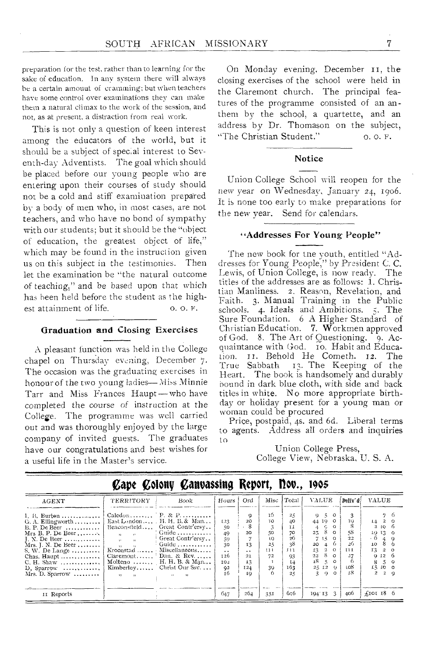preparation for the test, rather than to learning for the sake of education. In any system there will always be a certain amouut of cramming; but when teachers have some control over examinations they can make them a natural climax to the work of the session, and not, as at present, a distraction from real work.

This is not only a question of keen interest among the educators of the world, but it should be a subject of spec:al interest to Seventh-day Adventists. The goal which should be placed before our young people who are entering upon their courses of study should not be a cold and stiff examination prepared by a body of men who, in most cases, are not teachers, and who have no bond of sympathy with our students; but it should be the "object of education, the greatest object of life," which may be found in the instruction given us on this subject in the testimonies. Then let the examination be "the natural outcome of teaching," and he based upon that which has been held before the student as the highest attainment of life. 0. 0. F.

#### Graduation and Closing Exercises

A pleasant function was held in the College chapel on Thursday evening, December 7. The occasion was the graduating exercises in honour of the two young ladies— Miss Minnie Tarr and Miss Frances Haupt— who have completed the course of instruction at the College. The programme was well carried out and was thoroughly enjoyed by the large company of invited guests. The graduates have our congratulations and best wishes for a useful life in the Master's service.

On Monday evening, December it, the closing exercises of the school were held in the Claremont church. The principal features of the programme consisted of an anthem by the school, a quartette, and an address by Dr. Thomason on the subject, "The Christian Student." O.O. F.

#### Notice

Union College School will reopen for the new year on Wednesday, January 24, 1906. It is none too early to make preparations for the new year. Send for calendars.

#### "Addresses For Young People"

The new book for the youth, entitled "Addresses for Young People," by President C. C. Lewis, of Union College, is now ready. The titles of the addresses are as follows: 1. Christian Manliness. 2. Reason, Revelation, and Faith. 3. Manual Training in the Public schools. 4. Ideals and Ambitions. 5. The Sure Foundation. 6 A Higher Standard of Christian Education. 7. Workmen approved of God. 8. The Art of Questioning.  $\ddot{\cdot}$  9. Acquaintance with God. 10. Habit and Education. 11. Behold He Cometh. 12. The<br>True Sabbath 13. The Keeping of the True Sabbath 13. The Keeping of the Heart. The book is handsomely and durably bound in dark blue cloth, with side and back titles in white. No more appropriate birthday or holiday present for a young man or woman could be procured

Price, postpaid, 4s. and 6d. Liberal terms to agents. Address all orders and inquiries to

> Union College Press, College View, Nebraska, U. S. A.

| AGENT                                                                                                                                                                                                                                                                     | TERRITORY                                                                                                                                                                                   | Book                                                                                                                                                                                                                | Hours                                                                               | Ord                                                                         |                                                | Misc Total                                                            | <b>VALUE</b>                                                                                                                                                                                                                                 | Deliv' al                                       | <b>VALUE</b>                                                                                                                                                                         |
|---------------------------------------------------------------------------------------------------------------------------------------------------------------------------------------------------------------------------------------------------------------------------|---------------------------------------------------------------------------------------------------------------------------------------------------------------------------------------------|---------------------------------------------------------------------------------------------------------------------------------------------------------------------------------------------------------------------|-------------------------------------------------------------------------------------|-----------------------------------------------------------------------------|------------------------------------------------|-----------------------------------------------------------------------|----------------------------------------------------------------------------------------------------------------------------------------------------------------------------------------------------------------------------------------------|-------------------------------------------------|--------------------------------------------------------------------------------------------------------------------------------------------------------------------------------------|
| 1. B. Burton<br>$G. A. Ellingworth \ldots \ldots$<br>$B. P. De Beer$ ,<br>Mrs B. P. De Beer<br>I. N. De Beer<br>$Mrs.$ J. N. De Beer<br>S. W. De Lange $\ldots$<br>Chas. Haupt<br>C. H. Shaw<br>$D.$ Sparrow $\ldots \ldots \ldots$<br>$Mrs$ . D. Sparrow $\ldots \ldots$ | Benconsfield<br>$\overline{\mathbf{z}}$<br>$\mathbf{v}$ .<br>$\rightarrow$<br>12 <sup>1</sup><br>$\cdots$<br>Kroonstad<br>$Ciaremont, \ldots$<br>Kimberley<br>$\mathbf{v}$<br>$\sim$ $\sim$ | $Caledon P. \& P$<br>East London $H. H. B. \& Man$<br>Great Contr'ersy<br>$\frac{1}{2}$ Guide<br>Great Contr'ersy<br>Guide<br>Miscellaneous<br>Dan. & Rev. $\ldots$<br>Molteno , $H. H. B. & Man$<br>Christ Our Ssy | I <sub>23</sub><br>50<br>49<br>59<br>30<br>$\sim$ $\sim$<br>т 26<br>102<br>92<br>16 | O)<br>20<br>8<br>20<br>13<br>$\ddot{\phantom{1}}$<br>21<br>13<br>124<br>IQ. | 16<br>TO.<br>50<br>10<br>25<br>111<br>72<br>39 | 25<br>40<br>ΤI<br>70<br>26<br>38<br>111<br>93<br>$L_{4}$<br>163<br>25 | $9 - 5$<br>$\circ$<br>44 19 0<br>$^{\circ}$<br>C.<br>4<br>-8<br>$25 -$<br>$\Omega$<br>7.15<br>$\Omega$<br>20<br>$\overline{4}$<br>13<br>2<br>$\Omega$<br>8<br>22<br>$\Omega$<br>18<br>$\leq$<br>$\circ$<br>25 12<br>$\mathbf{Q}$<br>z.<br>O. | 10<br>58<br>22<br>26<br>11 L<br>27<br>108<br>т8 | 76<br>2 <sub>0</sub><br>14<br>2 10 6<br>$1913$ 0<br>- 6<br>$-4$ $-9$<br>$8\overline{6}$<br>10 <sup>°</sup><br>13<br>$2^{\circ}$ 0<br>9126<br>$5^{\circ}$<br>8.<br>15 10 0<br>2q<br>2 |
| II Reports                                                                                                                                                                                                                                                                |                                                                                                                                                                                             |                                                                                                                                                                                                                     | 647                                                                                 | 264                                                                         | 351                                            | 616                                                                   | 3.<br>194 13                                                                                                                                                                                                                                 | 406                                             | $f$ IOI 18 6                                                                                                                                                                         |

# **cape colony canvassing Report,** nog., 1905